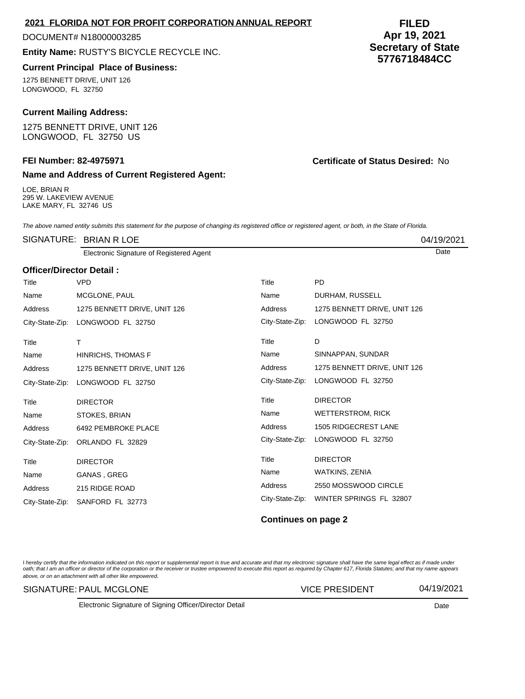| I hereby certify that the information indicated on this report or supplemental report is true and accurate and that my electronic signature shall have the same legal effect as if made under |
|-----------------------------------------------------------------------------------------------------------------------------------------------------------------------------------------------|
| oath; that I am an officer or director of the corporation or the receiver or trustee empowered to execute this report as required by Chapter 617, Florida Statutes; and that my name appears  |
| above, or on an attachment with all other like empowered.                                                                                                                                     |

#### SIGNATURE: PAUL MCGLONE

Electronic Signature of Signing Officer/Director Detail **Date Date** Date **Date Date** 

#### DOCUMENT# N18000003285

**Entity Name:** RUSTY'S BICYCLE RECYCLE INC.

## **Current Principal Place of Business:**

1275 BENNETT DRIVE, UNIT 126 LONGWOOD, FL 32750

## **Current Mailing Address:**

1275 BENNETT DRIVE, UNIT 126 LONGWOOD, FL 32750 US

## **FEI Number: 82-4975971 Certificate of Status Desired:** No

# **Name and Address of Current Registered Agent:**

LOE, BRIAN R 295 W. LAKEVIEW AVENUE LAKE MARY, FL 32746 US

The above named entity submits this statement for the purpose of changing its registered office or registered agent, or both, in the State of Florida.

|                          | SIGNATURE: BRIAN R LOE                   |                 |                              | 04/19/2021 |
|--------------------------|------------------------------------------|-----------------|------------------------------|------------|
|                          | Electronic Signature of Registered Agent |                 |                              | Date       |
| Officer/Director Detail: |                                          |                 |                              |            |
| Title                    | <b>VPD</b>                               | Title           | <b>PD</b>                    |            |
| Name                     | MCGLONE, PAUL                            | Name            | DURHAM, RUSSELL              |            |
| Address                  | 1275 BENNETT DRIVE, UNIT 126             | Address         | 1275 BENNETT DRIVE, UNIT 126 |            |
| City-State-Zip:          | LONGWOOD FL 32750                        | City-State-Zip: | LONGWOOD FL 32750            |            |
| Title                    | т                                        | Title           | D                            |            |
| Name                     | <b>HINRICHS, THOMAS F</b>                | Name            | SINNAPPAN, SUNDAR            |            |
| Address                  | 1275 BENNETT DRIVE, UNIT 126             | Address         | 1275 BENNETT DRIVE, UNIT 126 |            |
| City-State-Zip:          | LONGWOOD FL 32750                        | City-State-Zip: | LONGWOOD FL 32750            |            |
| Title                    | <b>DIRECTOR</b>                          | Title           | <b>DIRECTOR</b>              |            |
| Name                     | STOKES, BRIAN                            | Name            | <b>WETTERSTROM, RICK</b>     |            |
| Address                  | 6492 PEMBROKE PLACE                      | Address         | <b>1505 RIDGECREST LANE</b>  |            |
| City-State-Zip:          | ORLANDO FL 32829                         | City-State-Zip: | LONGWOOD FL 32750            |            |
| Title                    | <b>DIRECTOR</b>                          | Title           | <b>DIRECTOR</b>              |            |
| Name                     | GANAS, GREG                              | Name            | WATKINS, ZENIA               |            |
| Address                  | 215 RIDGE ROAD                           | Address         | 2550 MOSSWOOD CIRCLE         |            |
| City-State-Zip:          | SANFORD FL 32773                         | City-State-Zip: | WINTER SPRINGS FL 32807      |            |

# **Continues on page 2**

VICE PRESIDENT 04/19/2021

#### **FILED Apr 19, 2021 Secretary of State 5776718484CC**